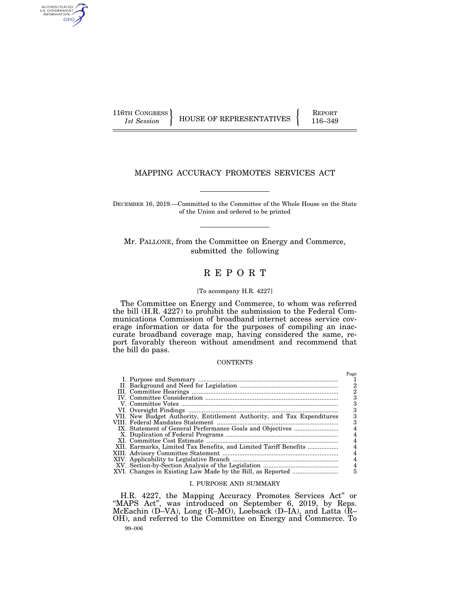AUTHENTICATED<br>U.S. GOVERNMENT<br>INFORMATION GPO

116TH CONGRESS HOUSE OF REPRESENTATIVES FEPORT 116–349

# MAPPING ACCURACY PROMOTES SERVICES ACT

DECEMBER 16, 2019.—Committed to the Committee of the Whole House on the State of the Union and ordered to be printed

Mr. PALLONE, from the Committee on Energy and Commerce, submitted the following

# R E P O R T

### [To accompany H.R. 4227]

The Committee on Energy and Commerce, to whom was referred the bill (H.R. 4227) to prohibit the submission to the Federal Communications Commission of broadband internet access service coverage information or data for the purposes of compiling an inaccurate broadband coverage map, having considered the same, report favorably thereon without amendment and recommend that the bill do pass.

#### **CONTENTS**

|                                                                        | Page           |
|------------------------------------------------------------------------|----------------|
|                                                                        |                |
|                                                                        |                |
|                                                                        |                |
|                                                                        | з              |
|                                                                        | з              |
|                                                                        |                |
| VII. New Budget Authority, Entitlement Authority, and Tax Expenditures | з              |
|                                                                        | з              |
|                                                                        |                |
|                                                                        |                |
|                                                                        | 4              |
| XII. Earmarks, Limited Tax Benefits, and Limited Tariff Benefits       |                |
|                                                                        |                |
|                                                                        |                |
|                                                                        | $\overline{4}$ |
|                                                                        | 5              |

#### I. PURPOSE AND SUMMARY

99–006 H.R. 4227, the Mapping Accuracy Promotes Services Act'' or ''MAPS Act'', was introduced on September 6, 2019, by Reps. McEachin (D–VA), Long (R–MO), Loebsack (D–IA), and Latta (R– OH), and referred to the Committee on Energy and Commerce. To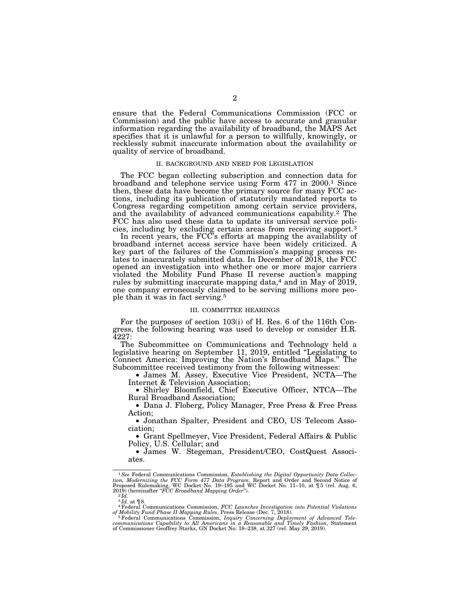ensure that the Federal Communications Commission (FCC or Commission) and the public have access to accurate and granular information regarding the availability of broadband, the MAPS Act specifies that it is unlawful for a person to willfully, knowingly, or recklessly submit inaccurate information about the availability or quality of service of broadband.

#### II. BACKGROUND AND NEED FOR LEGISLATION

The FCC began collecting subscription and connection data for broadband and telephone service using Form 477 in 2000.1 Since then, these data have become the primary source for many FCC actions, including its publication of statutorily mandated reports to Congress regarding competition among certain service providers, and the availability of advanced communications capability.2 The FCC has also used these data to update its universal service policies, including by excluding certain areas from receiving support.3

In recent years, the FCC's efforts at mapping the availability of broadband internet access service have been widely criticized. A key part of the failures of the Commission's mapping process relates to inaccurately submitted data. In December of 2018, the FCC opened an investigation into whether one or more major carriers violated the Mobility Fund Phase II reverse auction's mapping rules by submitting inaccurate mapping data, $4$  and in May of  $2019$ , one company erroneously claimed to be serving millions more people than it was in fact serving.5

#### III. COMMITTEE HEARINGS

For the purposes of section 103(i) of H. Res. 6 of the 116th Congress, the following hearing was used to develop or consider H.R. 4227:

The Subcommittee on Communications and Technology held a legislative hearing on September 11, 2019, entitled ''Legislating to Connect America: Improving the Nation's Broadband Maps.'' The Subcommittee received testimony from the following witnesses:

• James M. Assey, Executive Vice President, NCTA—The Internet & Television Association;

• Shirley Bloomfield, Chief Executive Officer, NTCA—The Rural Broadband Association;

• Dana J. Floberg, Policy Manager, Free Press & Free Press Action;

• Jonathan Spalter, President and CEO, US Telecom Association;

• Grant Spellmeyer, Vice President, Federal Affairs & Public Policy, U.S. Cellular; and

• James W. Stegeman, President/CEO, CostQuest Associates.

<sup>&</sup>lt;sup>1</sup> See Federal Communications Commission, *Establishing the Digital Opportunity Data Collection, Modernizing the FCC Form 477 Data Program, Report and Order and Second Notice of Proposed Rulemaking, WC Docket No. 19–195* 

<sup>3</sup> *Id.* at ¶ 8. 4Federal Communications Commission, *FCC Launches Investigation into Potential Violations* 

of Mobility Fund Phase II Mapping Rules, Press Release (Dec. 7, 2018).<br><sup>5</sup> Federal Communications Commission, *Inquiry Concerning Deployment of Advanced Tele-communications Capability to All Americans in a Reasonable and T*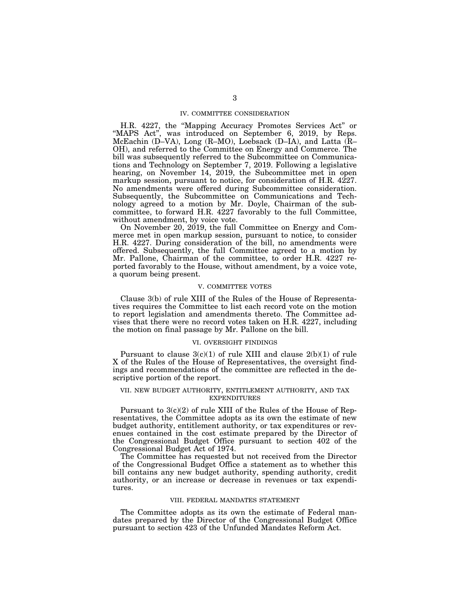### IV. COMMITTEE CONSIDERATION

H.R. 4227, the ''Mapping Accuracy Promotes Services Act'' or ''MAPS Act'', was introduced on September 6, 2019, by Reps. McEachin (D–VA), Long (R–MO), Loebsack (D–IA), and Latta (R– OH), and referred to the Committee on Energy and Commerce. The bill was subsequently referred to the Subcommittee on Communications and Technology on September 7, 2019. Following a legislative hearing, on November 14, 2019, the Subcommittee met in open markup session, pursuant to notice, for consideration of H.R. 4227. No amendments were offered during Subcommittee consideration. Subsequently, the Subcommittee on Communications and Technology agreed to a motion by Mr. Doyle, Chairman of the subcommittee, to forward H.R. 4227 favorably to the full Committee, without amendment, by voice vote.

On November 20, 2019, the full Committee on Energy and Commerce met in open markup session, pursuant to notice, to consider H.R. 4227. During consideration of the bill, no amendments were offered. Subsequently, the full Committee agreed to a motion by Mr. Pallone, Chairman of the committee, to order H.R. 4227 reported favorably to the House, without amendment, by a voice vote, a quorum being present.

### V. COMMITTEE VOTES

Clause 3(b) of rule XIII of the Rules of the House of Representatives requires the Committee to list each record vote on the motion to report legislation and amendments thereto. The Committee advises that there were no record votes taken on H.R. 4227, including the motion on final passage by Mr. Pallone on the bill.

### VI. OVERSIGHT FINDINGS

Pursuant to clause  $3(c)(1)$  of rule XIII and clause  $2(b)(1)$  of rule X of the Rules of the House of Representatives, the oversight findings and recommendations of the committee are reflected in the descriptive portion of the report.

#### VII. NEW BUDGET AUTHORITY, ENTITLEMENT AUTHORITY, AND TAX EXPENDITURES

Pursuant to 3(c)(2) of rule XIII of the Rules of the House of Representatives, the Committee adopts as its own the estimate of new budget authority, entitlement authority, or tax expenditures or revenues contained in the cost estimate prepared by the Director of the Congressional Budget Office pursuant to section 402 of the Congressional Budget Act of 1974.

The Committee has requested but not received from the Director of the Congressional Budget Office a statement as to whether this bill contains any new budget authority, spending authority, credit authority, or an increase or decrease in revenues or tax expenditures.

#### VIII. FEDERAL MANDATES STATEMENT

The Committee adopts as its own the estimate of Federal mandates prepared by the Director of the Congressional Budget Office pursuant to section 423 of the Unfunded Mandates Reform Act.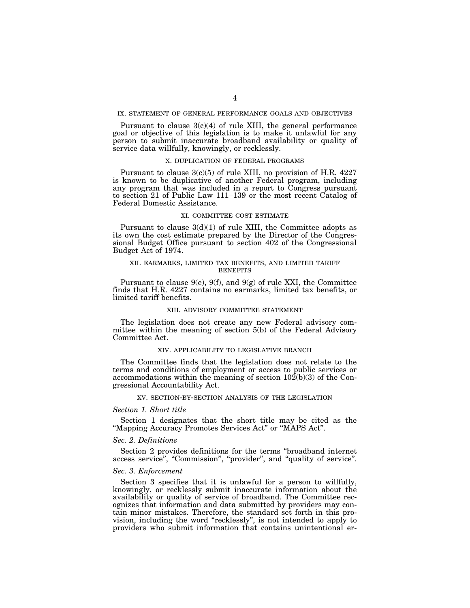### IX. STATEMENT OF GENERAL PERFORMANCE GOALS AND OBJECTIVES

Pursuant to clause  $3(c)(4)$  of rule XIII, the general performance goal or objective of this legislation is to make it unlawful for any person to submit inaccurate broadband availability or quality of service data willfully, knowingly, or recklessly.

### X. DUPLICATION OF FEDERAL PROGRAMS

Pursuant to clause 3(c)(5) of rule XIII, no provision of H.R. 4227 is known to be duplicative of another Federal program, including any program that was included in a report to Congress pursuant to section 21 of Public Law 111–139 or the most recent Catalog of Federal Domestic Assistance.

#### XI. COMMITTEE COST ESTIMATE

Pursuant to clause  $3(d)(1)$  of rule XIII, the Committee adopts as its own the cost estimate prepared by the Director of the Congressional Budget Office pursuant to section 402 of the Congressional Budget Act of 1974.

#### XII. EARMARKS, LIMITED TAX BENEFITS, AND LIMITED TARIFF BENEFITS

Pursuant to clause  $9(e)$ ,  $9(f)$ , and  $9(g)$  of rule XXI, the Committee finds that H.R. 4227 contains no earmarks, limited tax benefits, or limited tariff benefits.

#### XIII. ADVISORY COMMITTEE STATEMENT

The legislation does not create any new Federal advisory committee within the meaning of section 5(b) of the Federal Advisory Committee Act.

#### XIV. APPLICABILITY TO LEGISLATIVE BRANCH

The Committee finds that the legislation does not relate to the terms and conditions of employment or access to public services or accommodations within the meaning of section  $10\overline{2}(b)(3)$  of the Congressional Accountability Act.

### XV. SECTION-BY-SECTION ANALYSIS OF THE LEGISLATION

### *Section 1. Short title*

Section 1 designates that the short title may be cited as the ''Mapping Accuracy Promotes Services Act'' or ''MAPS Act''.

### *Sec. 2. Definitions*

Section 2 provides definitions for the terms ''broadband internet access service", "Commission", "provider", and "quality of service".

## *Sec. 3. Enforcement*

Section 3 specifies that it is unlawful for a person to willfully, knowingly, or recklessly submit inaccurate information about the availability or quality of service of broadband. The Committee recognizes that information and data submitted by providers may contain minor mistakes. Therefore, the standard set forth in this provision, including the word ''recklessly'', is not intended to apply to providers who submit information that contains unintentional er